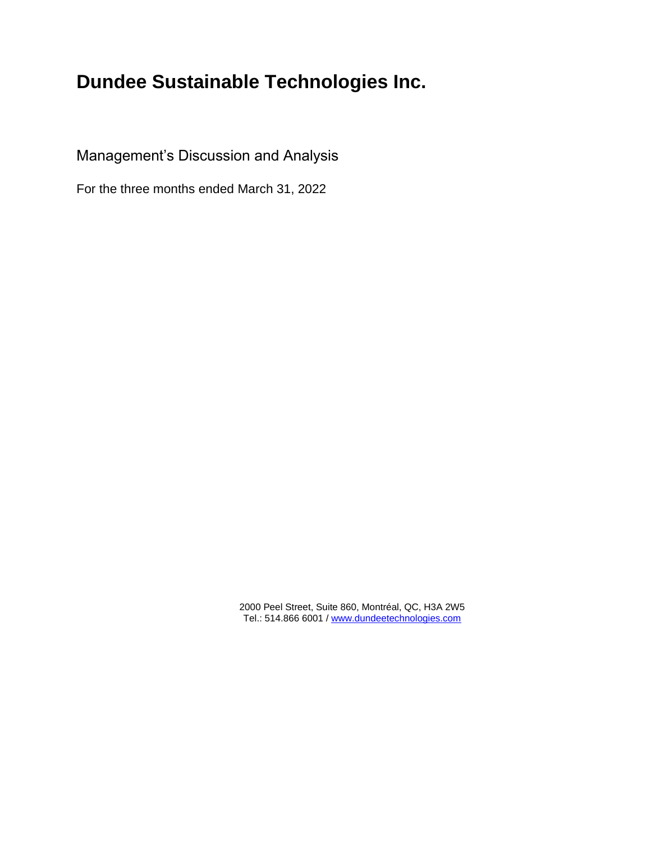# **Dundee Sustainable Technologies Inc.**

Management's Discussion and Analysis

For the three months ended March 31, 2022

2000 Peel Street, Suite 860, Montréal, QC, H3A 2W5 Tel.: 514.866 6001 [/ www.dundeetechnologies.com](http://www.dundeetechnologies.com/)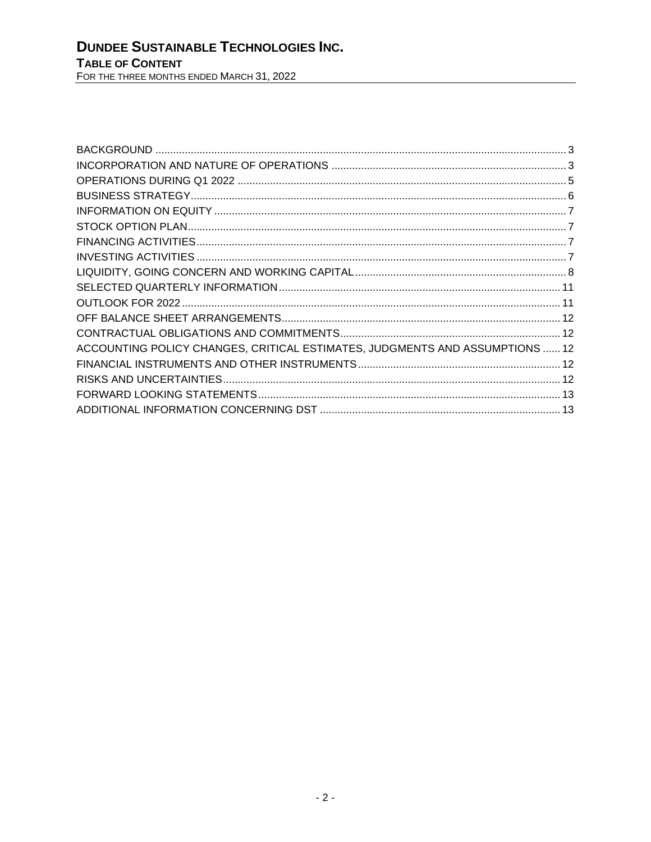| ACCOUNTING POLICY CHANGES, CRITICAL ESTIMATES, JUDGMENTS AND ASSUMPTIONS  12 |  |
|------------------------------------------------------------------------------|--|
|                                                                              |  |
|                                                                              |  |
|                                                                              |  |
|                                                                              |  |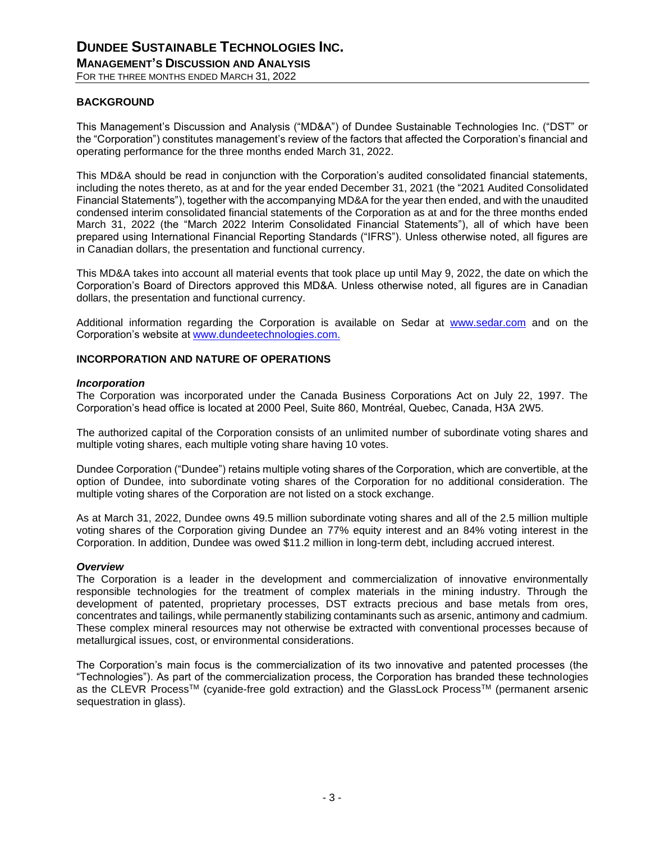#### <span id="page-2-0"></span>**BACKGROUND**

This Management's Discussion and Analysis ("MD&A") of Dundee Sustainable Technologies Inc. ("DST" or the "Corporation") constitutes management's review of the factors that affected the Corporation's financial and operating performance for the three months ended March 31, 2022.

This MD&A should be read in conjunction with the Corporation's audited consolidated financial statements, including the notes thereto, as at and for the year ended December 31, 2021 (the "2021 Audited Consolidated Financial Statements"), together with the accompanying MD&A for the year then ended, and with the unaudited condensed interim consolidated financial statements of the Corporation as at and for the three months ended March 31, 2022 (the "March 2022 Interim Consolidated Financial Statements"), all of which have been prepared using International Financial Reporting Standards ("IFRS"). Unless otherwise noted, all figures are in Canadian dollars, the presentation and functional currency.

This MD&A takes into account all material events that took place up until May 9, 2022, the date on which the Corporation's Board of Directors approved this MD&A. Unless otherwise noted, all figures are in Canadian dollars, the presentation and functional currency.

Additional information regarding the Corporation is available on Sedar at [www.sedar.com](http://www.sedar.com/) and on the Corporation's website at [www.dundeetechnologies.com.](http://www.dundeetechnologies.com/)

#### <span id="page-2-1"></span>**INCORPORATION AND NATURE OF OPERATIONS**

#### *Incorporation*

The Corporation was incorporated under the Canada Business Corporations Act on July 22, 1997. The Corporation's head office is located at 2000 Peel, Suite 860, Montréal, Quebec, Canada, H3A 2W5.

The authorized capital of the Corporation consists of an unlimited number of subordinate voting shares and multiple voting shares, each multiple voting share having 10 votes.

Dundee Corporation ("Dundee") retains multiple voting shares of the Corporation, which are convertible, at the option of Dundee, into subordinate voting shares of the Corporation for no additional consideration. The multiple voting shares of the Corporation are not listed on a stock exchange.

As at March 31, 2022, Dundee owns 49.5 million subordinate voting shares and all of the 2.5 million multiple voting shares of the Corporation giving Dundee an 77% equity interest and an 84% voting interest in the Corporation. In addition, Dundee was owed \$11.2 million in long-term debt, including accrued interest.

#### *Overview*

The Corporation is a leader in the development and commercialization of innovative environmentally responsible technologies for the treatment of complex materials in the mining industry. Through the development of patented, proprietary processes, DST extracts precious and base metals from ores, concentrates and tailings, while permanently stabilizing contaminants such as arsenic, antimony and cadmium. These complex mineral resources may not otherwise be extracted with conventional processes because of metallurgical issues, cost, or environmental considerations.

The Corporation's main focus is the commercialization of its two innovative and patented processes (the "Technologies"). As part of the commercialization process, the Corporation has branded these technologies as the CLEVR ProcessTM (cyanide-free gold extraction) and the GlassLock ProcessTM (permanent arsenic sequestration in glass).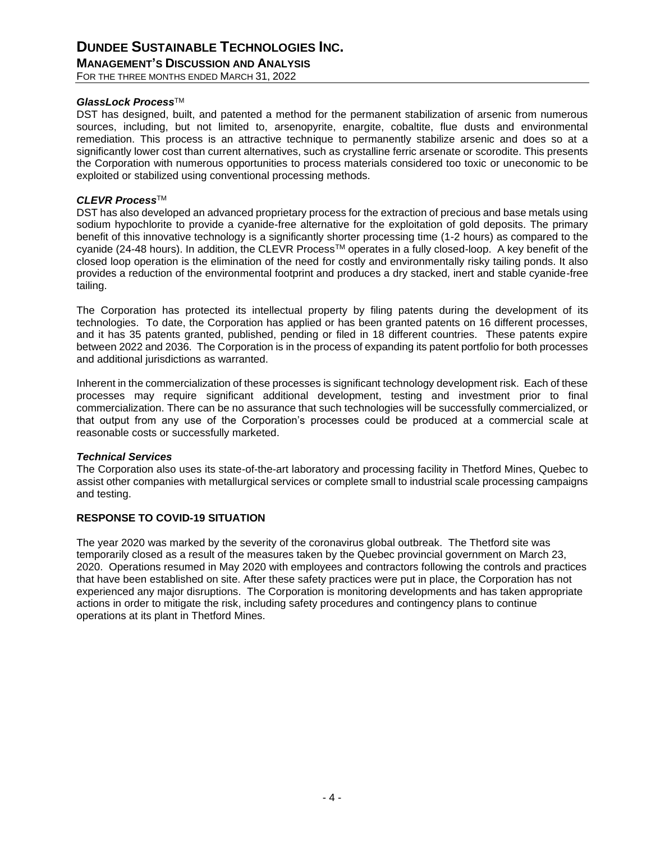### **DUNDEE SUSTAINABLE TECHNOLOGIES INC. MANAGEMENT'S DISCUSSION AND ANALYSIS**

FOR THE THREE MONTHS ENDED MARCH 31, 2022

#### *GlassLock Process*TM

DST has designed, built, and patented a method for the permanent stabilization of arsenic from numerous sources, including, but not limited to, arsenopyrite, enargite, cobaltite, flue dusts and environmental remediation. This process is an attractive technique to permanently stabilize arsenic and does so at a significantly lower cost than current alternatives, such as crystalline ferric arsenate or scorodite. This presents the Corporation with numerous opportunities to process materials considered too toxic or uneconomic to be exploited or stabilized using conventional processing methods.

#### *CLEVR Process*TM

DST has also developed an advanced proprietary process for the extraction of precious and base metals using sodium hypochlorite to provide a cyanide-free alternative for the exploitation of gold deposits. The primary benefit of this innovative technology is a significantly shorter processing time (1-2 hours) as compared to the cyanide (24-48 hours). In addition, the CLEVR Process™ operates in a fully closed-loop. A key benefit of the closed loop operation is the elimination of the need for costly and environmentally risky tailing ponds. It also provides a reduction of the environmental footprint and produces a dry stacked, inert and stable cyanide-free tailing.

The Corporation has protected its intellectual property by filing patents during the development of its technologies. To date, the Corporation has applied or has been granted patents on 16 different processes, and it has 35 patents granted, published, pending or filed in 18 different countries. These patents expire between 2022 and 2036. The Corporation is in the process of expanding its patent portfolio for both processes and additional jurisdictions as warranted.

Inherent in the commercialization of these processes is significant technology development risk. Each of these processes may require significant additional development, testing and investment prior to final commercialization. There can be no assurance that such technologies will be successfully commercialized, or that output from any use of the Corporation's processes could be produced at a commercial scale at reasonable costs or successfully marketed.

#### *Technical Services*

The Corporation also uses its state-of-the-art laboratory and processing facility in Thetford Mines, Quebec to assist other companies with metallurgical services or complete small to industrial scale processing campaigns and testing.

#### **RESPONSE TO COVID-19 SITUATION**

The year 2020 was marked by the severity of the coronavirus global outbreak. The Thetford site was temporarily closed as a result of the measures taken by the Quebec provincial government on March 23, 2020. Operations resumed in May 2020 with employees and contractors following the controls and practices that have been established on site. After these safety practices were put in place, the Corporation has not experienced any major disruptions. The Corporation is monitoring developments and has taken appropriate actions in order to mitigate the risk, including safety procedures and contingency plans to continue operations at its plant in Thetford Mines.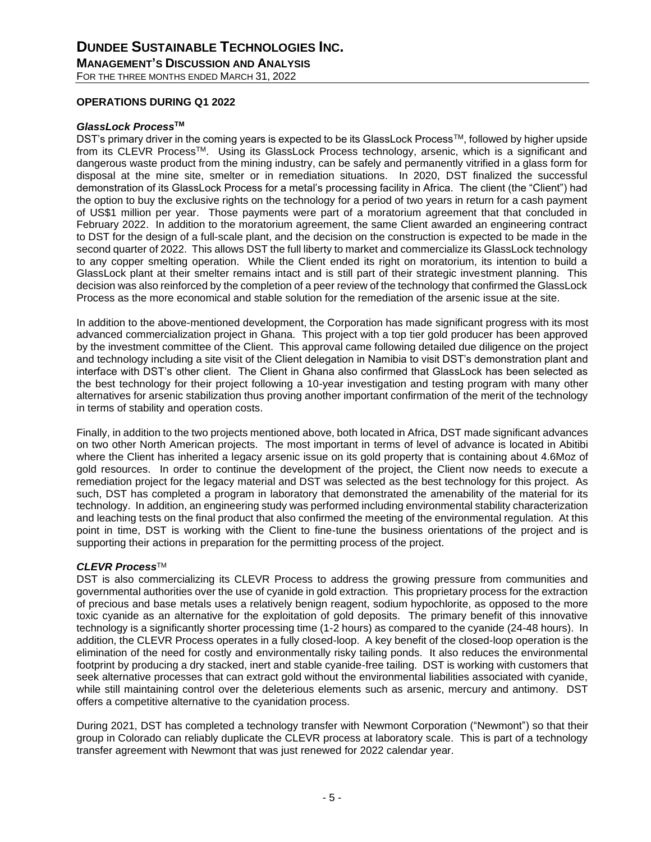#### <span id="page-4-0"></span>**OPERATIONS DURING Q1 2022**

#### *GlassLock Process***TM**

DST's primary driver in the coming years is expected to be its GlassLock Process™, followed by higher upside from its CLEVR ProcessTM. Using its GlassLock Process technology, arsenic, which is a significant and dangerous waste product from the mining industry, can be safely and permanently vitrified in a glass form for disposal at the mine site, smelter or in remediation situations. In 2020, DST finalized the successful demonstration of its GlassLock Process for a metal's processing facility in Africa. The client (the "Client") had the option to buy the exclusive rights on the technology for a period of two years in return for a cash payment of US\$1 million per year. Those payments were part of a moratorium agreement that that concluded in February 2022. In addition to the moratorium agreement, the same Client awarded an engineering contract to DST for the design of a full-scale plant, and the decision on the construction is expected to be made in the second quarter of 2022. This allows DST the full liberty to market and commercialize its GlassLock technology to any copper smelting operation. While the Client ended its right on moratorium, its intention to build a GlassLock plant at their smelter remains intact and is still part of their strategic investment planning. This decision was also reinforced by the completion of a peer review of the technology that confirmed the GlassLock Process as the more economical and stable solution for the remediation of the arsenic issue at the site.

In addition to the above-mentioned development, the Corporation has made significant progress with its most advanced commercialization project in Ghana. This project with a top tier gold producer has been approved by the investment committee of the Client. This approval came following detailed due diligence on the project and technology including a site visit of the Client delegation in Namibia to visit DST's demonstration plant and interface with DST's other client. The Client in Ghana also confirmed that GlassLock has been selected as the best technology for their project following a 10-year investigation and testing program with many other alternatives for arsenic stabilization thus proving another important confirmation of the merit of the technology in terms of stability and operation costs.

Finally, in addition to the two projects mentioned above, both located in Africa, DST made significant advances on two other North American projects. The most important in terms of level of advance is located in Abitibi where the Client has inherited a legacy arsenic issue on its gold property that is containing about 4.6Moz of gold resources. In order to continue the development of the project, the Client now needs to execute a remediation project for the legacy material and DST was selected as the best technology for this project. As such. DST has completed a program in laboratory that demonstrated the amenability of the material for its technology. In addition, an engineering study was performed including environmental stability characterization and leaching tests on the final product that also confirmed the meeting of the environmental regulation. At this point in time, DST is working with the Client to fine-tune the business orientations of the project and is supporting their actions in preparation for the permitting process of the project.

#### *CLEVR Process*TM

DST is also commercializing its CLEVR Process to address the growing pressure from communities and governmental authorities over the use of cyanide in gold extraction. This proprietary process for the extraction of precious and base metals uses a relatively benign reagent, sodium hypochlorite, as opposed to the more toxic cyanide as an alternative for the exploitation of gold deposits. The primary benefit of this innovative technology is a significantly shorter processing time (1-2 hours) as compared to the cyanide (24-48 hours). In addition, the CLEVR Process operates in a fully closed-loop. A key benefit of the closed-loop operation is the elimination of the need for costly and environmentally risky tailing ponds. It also reduces the environmental footprint by producing a dry stacked, inert and stable cyanide-free tailing. DST is working with customers that seek alternative processes that can extract gold without the environmental liabilities associated with cyanide, while still maintaining control over the deleterious elements such as arsenic, mercury and antimony. DST offers a competitive alternative to the cyanidation process.

During 2021, DST has completed a technology transfer with Newmont Corporation ("Newmont") so that their group in Colorado can reliably duplicate the CLEVR process at laboratory scale. This is part of a technology transfer agreement with Newmont that was just renewed for 2022 calendar year.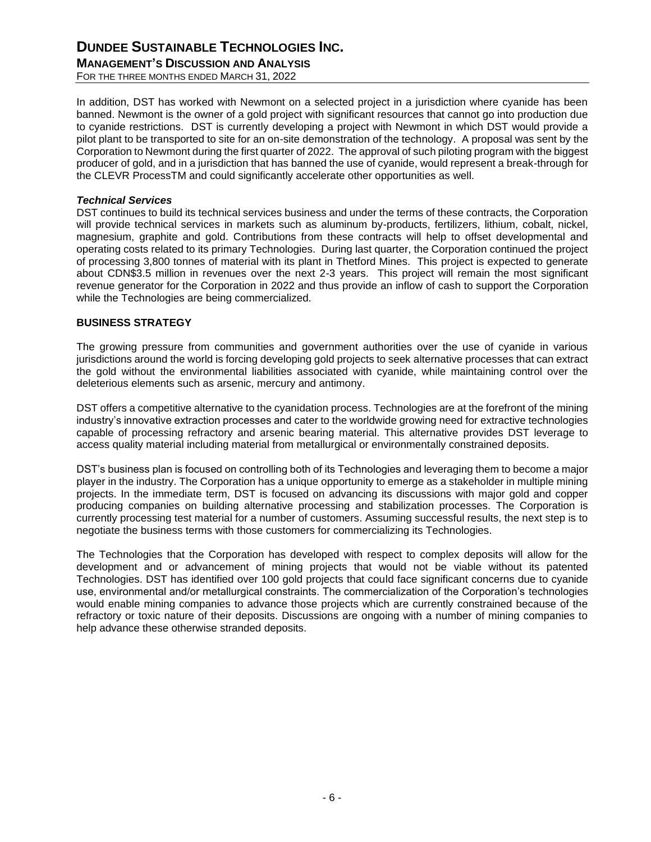# **DUNDEE SUSTAINABLE TECHNOLOGIES INC.**

**MANAGEMENT'S DISCUSSION AND ANALYSIS**

FOR THE THREE MONTHS ENDED MARCH 31, 2022

In addition, DST has worked with Newmont on a selected project in a jurisdiction where cyanide has been banned. Newmont is the owner of a gold project with significant resources that cannot go into production due to cyanide restrictions. DST is currently developing a project with Newmont in which DST would provide a pilot plant to be transported to site for an on-site demonstration of the technology. A proposal was sent by the Corporation to Newmont during the first quarter of 2022. The approval of such piloting program with the biggest producer of gold, and in a jurisdiction that has banned the use of cyanide, would represent a break-through for the CLEVR ProcessTM and could significantly accelerate other opportunities as well.

#### *Technical Services*

DST continues to build its technical services business and under the terms of these contracts, the Corporation will provide technical services in markets such as aluminum by-products, fertilizers, lithium, cobalt, nickel, magnesium, graphite and gold. Contributions from these contracts will help to offset developmental and operating costs related to its primary Technologies. During last quarter, the Corporation continued the project of processing 3,800 tonnes of material with its plant in Thetford Mines. This project is expected to generate about CDN\$3.5 million in revenues over the next 2-3 years. This project will remain the most significant revenue generator for the Corporation in 2022 and thus provide an inflow of cash to support the Corporation while the Technologies are being commercialized.

#### <span id="page-5-0"></span>**BUSINESS STRATEGY**

The growing pressure from communities and government authorities over the use of cyanide in various jurisdictions around the world is forcing developing gold projects to seek alternative processes that can extract the gold without the environmental liabilities associated with cyanide, while maintaining control over the deleterious elements such as arsenic, mercury and antimony.

DST offers a competitive alternative to the cyanidation process. Technologies are at the forefront of the mining industry's innovative extraction processes and cater to the worldwide growing need for extractive technologies capable of processing refractory and arsenic bearing material. This alternative provides DST leverage to access quality material including material from metallurgical or environmentally constrained deposits.

DST's business plan is focused on controlling both of its Technologies and leveraging them to become a major player in the industry. The Corporation has a unique opportunity to emerge as a stakeholder in multiple mining projects. In the immediate term, DST is focused on advancing its discussions with major gold and copper producing companies on building alternative processing and stabilization processes. The Corporation is currently processing test material for a number of customers. Assuming successful results, the next step is to negotiate the business terms with those customers for commercializing its Technologies.

The Technologies that the Corporation has developed with respect to complex deposits will allow for the development and or advancement of mining projects that would not be viable without its patented Technologies. DST has identified over 100 gold projects that could face significant concerns due to cyanide use, environmental and/or metallurgical constraints. The commercialization of the Corporation's technologies would enable mining companies to advance those projects which are currently constrained because of the refractory or toxic nature of their deposits. Discussions are ongoing with a number of mining companies to help advance these otherwise stranded deposits.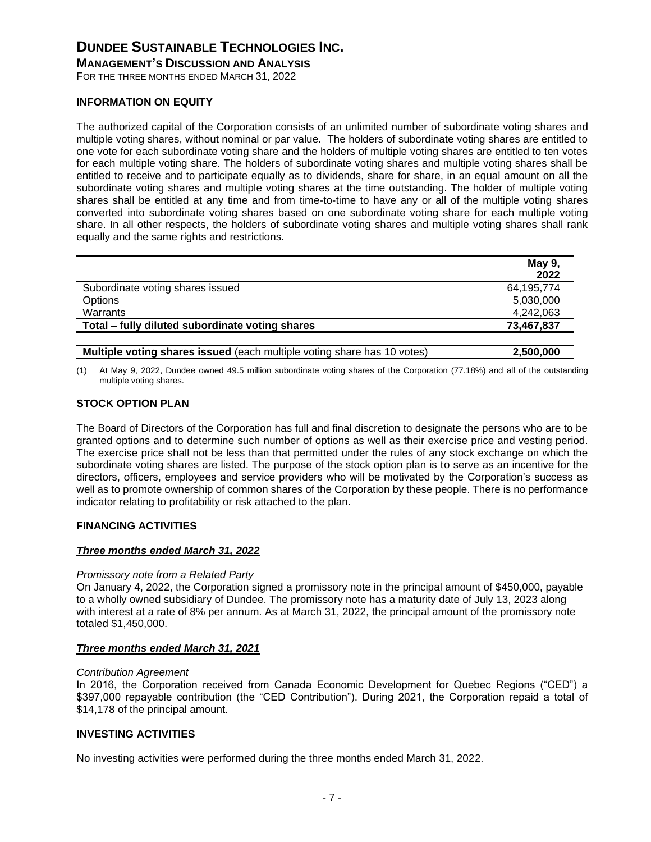#### <span id="page-6-0"></span>**INFORMATION ON EQUITY**

The authorized capital of the Corporation consists of an unlimited number of subordinate voting shares and multiple voting shares, without nominal or par value. The holders of subordinate voting shares are entitled to one vote for each subordinate voting share and the holders of multiple voting shares are entitled to ten votes for each multiple voting share. The holders of subordinate voting shares and multiple voting shares shall be entitled to receive and to participate equally as to dividends, share for share, in an equal amount on all the subordinate voting shares and multiple voting shares at the time outstanding. The holder of multiple voting shares shall be entitled at any time and from time-to-time to have any or all of the multiple voting shares converted into subordinate voting shares based on one subordinate voting share for each multiple voting share. In all other respects, the holders of subordinate voting shares and multiple voting shares shall rank equally and the same rights and restrictions.

|                                                                         | May 9,     |
|-------------------------------------------------------------------------|------------|
|                                                                         | 2022       |
| Subordinate voting shares issued                                        | 64,195,774 |
| Options                                                                 | 5,030,000  |
| Warrants                                                                | 4,242,063  |
| Total – fully diluted subordinate voting shares                         | 73,467,837 |
|                                                                         |            |
| Multiple voting shares issued (each multiple voting share has 10 votes) | 2,500,000  |

(1) At May 9, 2022, Dundee owned 49.5 million subordinate voting shares of the Corporation (77.18%) and all of the outstanding multiple voting shares.

#### <span id="page-6-1"></span>**STOCK OPTION PLAN**

The Board of Directors of the Corporation has full and final discretion to designate the persons who are to be granted options and to determine such number of options as well as their exercise price and vesting period. The exercise price shall not be less than that permitted under the rules of any stock exchange on which the subordinate voting shares are listed. The purpose of the stock option plan is to serve as an incentive for the directors, officers, employees and service providers who will be motivated by the Corporation's success as well as to promote ownership of common shares of the Corporation by these people. There is no performance indicator relating to profitability or risk attached to the plan.

#### <span id="page-6-2"></span>**FINANCING ACTIVITIES**

#### *Three months ended March 31, 2022*

#### *Promissory note from a Related Party*

On January 4, 2022, the Corporation signed a promissory note in the principal amount of \$450,000, payable to a wholly owned subsidiary of Dundee. The promissory note has a maturity date of July 13, 2023 along with interest at a rate of 8% per annum. As at March 31, 2022, the principal amount of the promissory note totaled \$1,450,000.

#### *Three months ended March 31, 2021*

#### *Contribution Agreement*

In 2016, the Corporation received from Canada Economic Development for Quebec Regions ("CED") a \$397,000 repayable contribution (the "CED Contribution"). During 2021, the Corporation repaid a total of \$14,178 of the principal amount.

#### <span id="page-6-3"></span>**INVESTING ACTIVITIES**

No investing activities were performed during the three months ended March 31, 2022.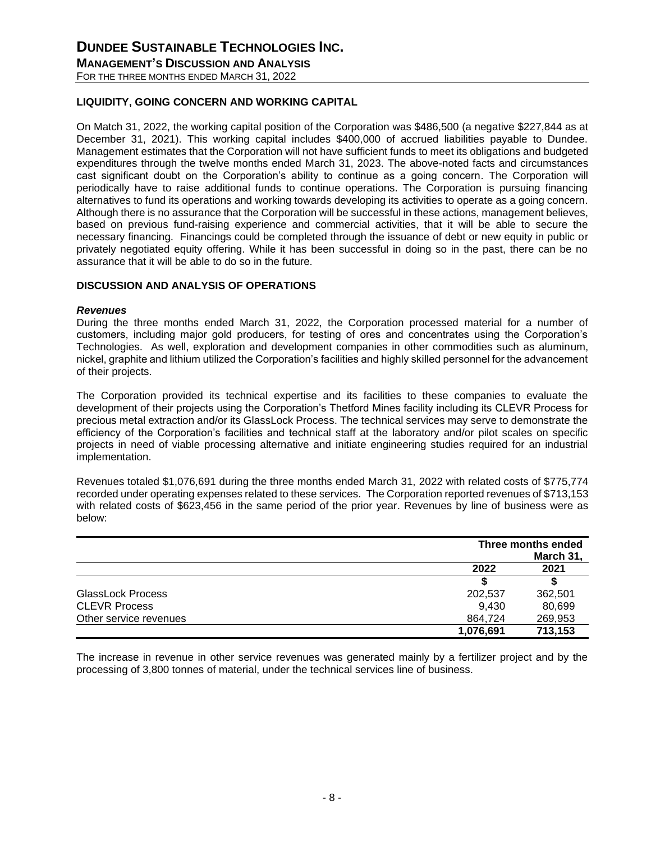#### <span id="page-7-0"></span>**LIQUIDITY, GOING CONCERN AND WORKING CAPITAL**

On Match 31, 2022, the working capital position of the Corporation was \$486,500 (a negative \$227,844 as at December 31, 2021). This working capital includes \$400,000 of accrued liabilities payable to Dundee. Management estimates that the Corporation will not have sufficient funds to meet its obligations and budgeted expenditures through the twelve months ended March 31, 2023. The above-noted facts and circumstances cast significant doubt on the Corporation's ability to continue as a going concern. The Corporation will periodically have to raise additional funds to continue operations. The Corporation is pursuing financing alternatives to fund its operations and working towards developing its activities to operate as a going concern. Although there is no assurance that the Corporation will be successful in these actions, management believes, based on previous fund-raising experience and commercial activities, that it will be able to secure the necessary financing. Financings could be completed through the issuance of debt or new equity in public or privately negotiated equity offering. While it has been successful in doing so in the past, there can be no assurance that it will be able to do so in the future.

#### **DISCUSSION AND ANALYSIS OF OPERATIONS**

#### *Revenues*

During the three months ended March 31, 2022, the Corporation processed material for a number of customers, including major gold producers, for testing of ores and concentrates using the Corporation's Technologies. As well, exploration and development companies in other commodities such as aluminum, nickel, graphite and lithium utilized the Corporation's facilities and highly skilled personnel for the advancement of their projects.

The Corporation provided its technical expertise and its facilities to these companies to evaluate the development of their projects using the Corporation's Thetford Mines facility including its CLEVR Process for precious metal extraction and/or its GlassLock Process. The technical services may serve to demonstrate the efficiency of the Corporation's facilities and technical staff at the laboratory and/or pilot scales on specific projects in need of viable processing alternative and initiate engineering studies required for an industrial implementation.

Revenues totaled \$1,076,691 during the three months ended March 31, 2022 with related costs of \$775,774 recorded under operating expenses related to these services. The Corporation reported revenues of \$713,153 with related costs of \$623,456 in the same period of the prior year. Revenues by line of business were as below:

|                          |           | Three months ended<br>March 31, |  |
|--------------------------|-----------|---------------------------------|--|
|                          | 2022      | 2021                            |  |
|                          |           |                                 |  |
| <b>GlassLock Process</b> | 202.537   | 362,501                         |  |
| <b>CLEVR Process</b>     | 9.430     | 80,699                          |  |
| Other service revenues   | 864.724   | 269,953                         |  |
|                          | 1,076,691 | 713,153                         |  |

The increase in revenue in other service revenues was generated mainly by a fertilizer project and by the processing of 3,800 tonnes of material, under the technical services line of business.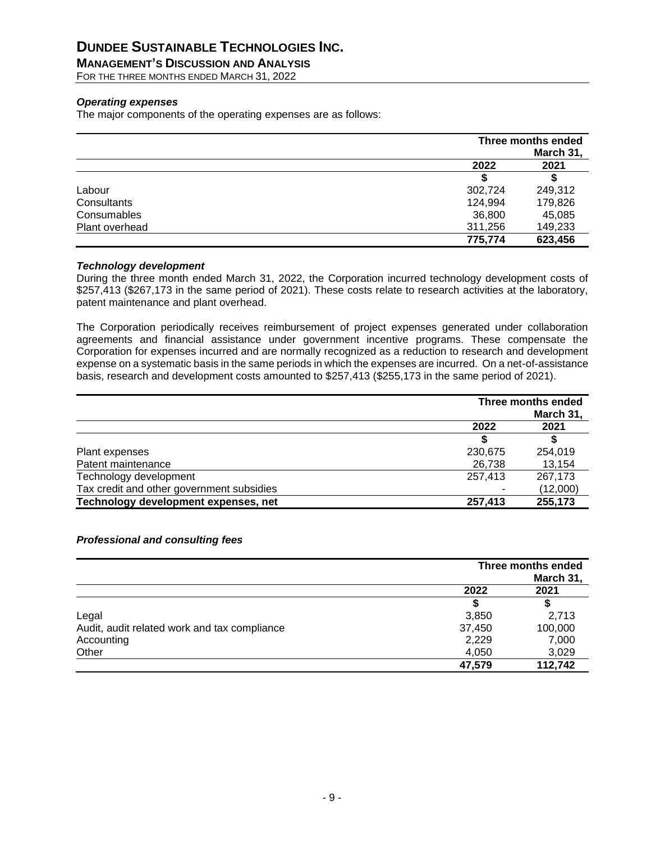# **DUNDEE SUSTAINABLE TECHNOLOGIES INC.**

**MANAGEMENT'S DISCUSSION AND ANALYSIS**

FOR THE THREE MONTHS ENDED MARCH 31, 2022

#### *Operating expenses*

The major components of the operating expenses are as follows:

|                |         | Three months ended |  |
|----------------|---------|--------------------|--|
|                | 2022    | March 31,<br>2021  |  |
|                |         |                    |  |
| Labour         | 302,724 | 249,312            |  |
| Consultants    | 124,994 | 179,826            |  |
| Consumables    | 36,800  | 45,085             |  |
| Plant overhead | 311,256 | 149,233            |  |
|                | 775,774 | 623,456            |  |

#### *Technology development*

During the three month ended March 31, 2022, the Corporation incurred technology development costs of \$257,413 (\$267,173 in the same period of 2021). These costs relate to research activities at the laboratory, patent maintenance and plant overhead.

The Corporation periodically receives reimbursement of project expenses generated under collaboration agreements and financial assistance under government incentive programs. These compensate the Corporation for expenses incurred and are normally recognized as a reduction to research and development expense on a systematic basis in the same periods in which the expenses are incurred. On a net-of-assistance basis, research and development costs amounted to \$257,413 (\$255,173 in the same period of 2021).

|                                           | Three months ended<br>March 31, |          |
|-------------------------------------------|---------------------------------|----------|
|                                           | 2022                            | 2021     |
|                                           |                                 |          |
| Plant expenses                            | 230,675                         | 254.019  |
| Patent maintenance                        | 26,738                          | 13,154   |
| Technology development                    | 257.413                         | 267,173  |
| Tax credit and other government subsidies |                                 | (12,000) |
| Technology development expenses, net      | 257,413                         | 255,173  |

#### *Professional and consulting fees*

|                                              | Three months ended |                   |
|----------------------------------------------|--------------------|-------------------|
|                                              | 2022               | March 31,<br>2021 |
|                                              |                    | \$                |
| Legal                                        | 3,850              | 2,713             |
| Audit, audit related work and tax compliance | 37,450             | 100,000           |
| Accounting                                   | 2,229              | 7,000             |
| Other                                        | 4,050              | 3,029             |
|                                              | 47,579             | 112,742           |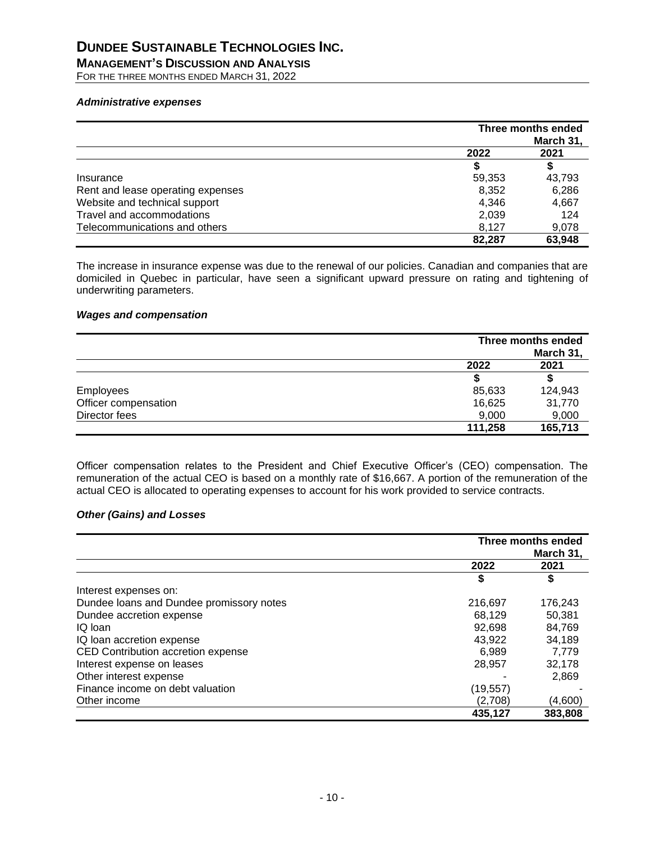**MANAGEMENT'S DISCUSSION AND ANALYSIS**

FOR THE THREE MONTHS ENDED MARCH 31, 2022

#### *Administrative expenses*

|                                   | Three months ended<br>March 31, |        |
|-----------------------------------|---------------------------------|--------|
|                                   | 2022                            | 2021   |
|                                   |                                 |        |
| Insurance                         | 59,353                          | 43,793 |
| Rent and lease operating expenses | 8,352                           | 6,286  |
| Website and technical support     | 4.346                           | 4,667  |
| Travel and accommodations         | 2,039                           | 124    |
| Telecommunications and others     | 8.127                           | 9,078  |
|                                   | 82,287                          | 63,948 |

The increase in insurance expense was due to the renewal of our policies. Canadian and companies that are domiciled in Quebec in particular, have seen a significant upward pressure on rating and tightening of underwriting parameters.

#### *Wages and compensation*

|                      | Three months ended<br>March 31, |         |  |
|----------------------|---------------------------------|---------|--|
|                      | 2022                            | 2021    |  |
|                      |                                 |         |  |
| Employees            | 85,633                          | 124,943 |  |
| Officer compensation | 16,625                          | 31,770  |  |
| Director fees        | 9,000                           | 9,000   |  |
|                      | 111,258                         | 165,713 |  |

Officer compensation relates to the President and Chief Executive Officer's (CEO) compensation. The remuneration of the actual CEO is based on a monthly rate of \$16,667. A portion of the remuneration of the actual CEO is allocated to operating expenses to account for his work provided to service contracts.

#### *Other (Gains) and Losses*

|                                          | Three months ended<br>March 31, |         |
|------------------------------------------|---------------------------------|---------|
|                                          | 2022                            | 2021    |
|                                          | \$                              |         |
| Interest expenses on:                    |                                 |         |
| Dundee loans and Dundee promissory notes | 216,697                         | 176,243 |
| Dundee accretion expense                 | 68.129                          | 50,381  |
| IQ loan                                  | 92,698                          | 84,769  |
| IQ loan accretion expense                | 43.922                          | 34,189  |
| CED Contribution accretion expense       | 6,989                           | 7,779   |
| Interest expense on leases               | 28,957                          | 32,178  |
| Other interest expense                   |                                 | 2,869   |
| Finance income on debt valuation         | (19, 557)                       |         |
| Other income                             | (2,708)                         | (4,600) |
|                                          | 435,127                         | 383,808 |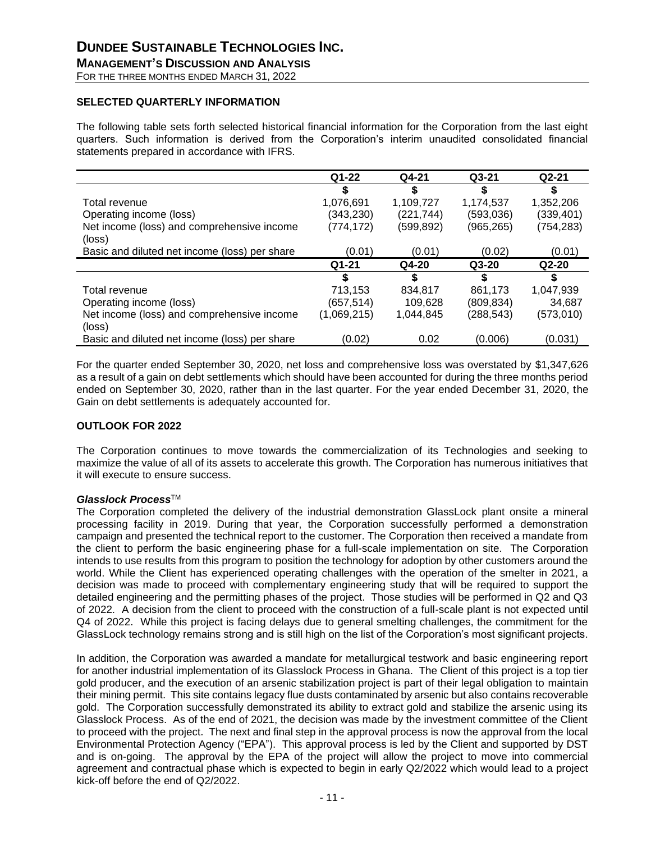**MANAGEMENT'S DISCUSSION AND ANALYSIS**

## FOR THE THREE MONTHS ENDED MARCH 31, 2022

#### <span id="page-10-0"></span>**SELECTED QUARTERLY INFORMATION**

The following table sets forth selected historical financial information for the Corporation from the last eight quarters. Such information is derived from the Corporation's interim unaudited consolidated financial statements prepared in accordance with IFRS.

|                                               | $Q1-22$     | Q4-21      | $Q3-21$    | Q2-21      |
|-----------------------------------------------|-------------|------------|------------|------------|
|                                               |             |            | S          |            |
| Total revenue                                 | 1,076,691   | 1,109,727  | 1,174,537  | 1,352,206  |
| Operating income (loss)                       | (343,230)   | (221, 744) | (593,036)  | (339, 401) |
| Net income (loss) and comprehensive income    | (774, 172)  | (599,892)  | (965, 265) | (754, 283) |
| (loss)                                        |             |            |            |            |
| Basic and diluted net income (loss) per share | (0.01)      | (0.01)     | (0.02)     | (0.01)     |
|                                               | Q1-21       | $Q4-20$    | $Q3-20$    | $Q2-20$    |
|                                               |             |            | S          |            |
| Total revenue                                 | 713,153     | 834,817    | 861,173    | 1,047,939  |
| Operating income (loss)                       | (657,514)   | 109,628    | (809,834)  | 34,687     |
| Net income (loss) and comprehensive income    | (1,069,215) | 1,044,845  | (288, 543) | (573,010)  |
| (loss)                                        |             |            |            |            |
| Basic and diluted net income (loss) per share | (0.02)      | 0.02       | (0.006)    | (0.031)    |

For the quarter ended September 30, 2020, net loss and comprehensive loss was overstated by \$1,347,626 as a result of a gain on debt settlements which should have been accounted for during the three months period ended on September 30, 2020, rather than in the last quarter. For the year ended December 31, 2020, the Gain on debt settlements is adequately accounted for.

#### <span id="page-10-1"></span>**OUTLOOK FOR 2022**

The Corporation continues to move towards the commercialization of its Technologies and seeking to maximize the value of all of its assets to accelerate this growth. The Corporation has numerous initiatives that it will execute to ensure success.

#### *Glasslock Process*TM

The Corporation completed the delivery of the industrial demonstration GlassLock plant onsite a mineral processing facility in 2019. During that year, the Corporation successfully performed a demonstration campaign and presented the technical report to the customer. The Corporation then received a mandate from the client to perform the basic engineering phase for a full-scale implementation on site. The Corporation intends to use results from this program to position the technology for adoption by other customers around the world. While the Client has experienced operating challenges with the operation of the smelter in 2021, a decision was made to proceed with complementary engineering study that will be required to support the detailed engineering and the permitting phases of the project. Those studies will be performed in Q2 and Q3 of 2022. A decision from the client to proceed with the construction of a full-scale plant is not expected until Q4 of 2022. While this project is facing delays due to general smelting challenges, the commitment for the GlassLock technology remains strong and is still high on the list of the Corporation's most significant projects.

In addition, the Corporation was awarded a mandate for metallurgical testwork and basic engineering report for another industrial implementation of its Glasslock Process in Ghana. The Client of this project is a top tier gold producer, and the execution of an arsenic stabilization project is part of their legal obligation to maintain their mining permit. This site contains legacy flue dusts contaminated by arsenic but also contains recoverable gold. The Corporation successfully demonstrated its ability to extract gold and stabilize the arsenic using its Glasslock Process. As of the end of 2021, the decision was made by the investment committee of the Client to proceed with the project. The next and final step in the approval process is now the approval from the local Environmental Protection Agency ("EPA"). This approval process is led by the Client and supported by DST and is on-going. The approval by the EPA of the project will allow the project to move into commercial agreement and contractual phase which is expected to begin in early Q2/2022 which would lead to a project kick-off before the end of Q2/2022.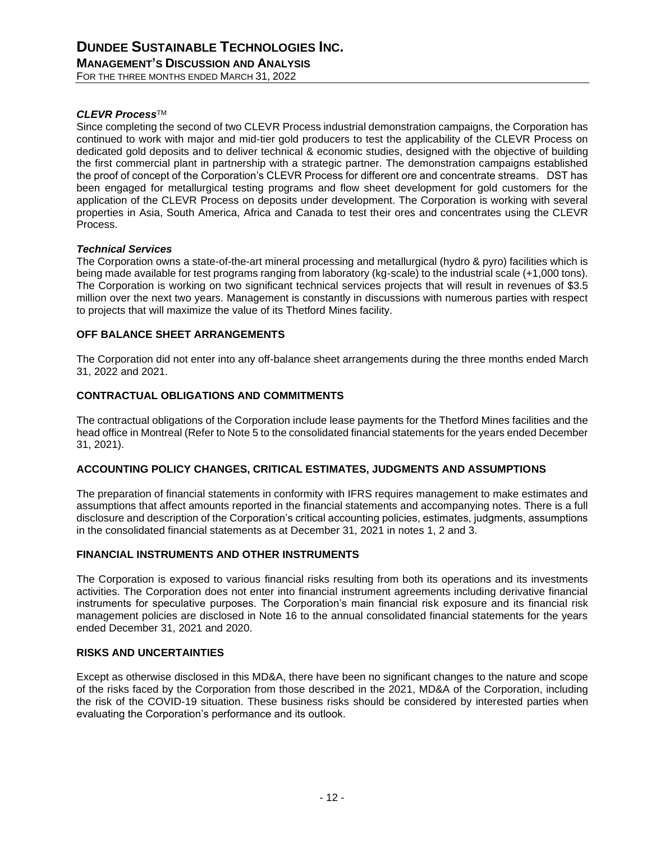#### *CLEVR Process*TM

Since completing the second of two CLEVR Process industrial demonstration campaigns, the Corporation has continued to work with major and mid-tier gold producers to test the applicability of the CLEVR Process on dedicated gold deposits and to deliver technical & economic studies, designed with the objective of building the first commercial plant in partnership with a strategic partner. The demonstration campaigns established the proof of concept of the Corporation's CLEVR Process for different ore and concentrate streams. DST has been engaged for metallurgical testing programs and flow sheet development for gold customers for the application of the CLEVR Process on deposits under development. The Corporation is working with several properties in Asia, South America, Africa and Canada to test their ores and concentrates using the CLEVR Process.

#### *Technical Services*

The Corporation owns a state-of-the-art mineral processing and metallurgical (hydro & pyro) facilities which is being made available for test programs ranging from laboratory (kg-scale) to the industrial scale (+1,000 tons). The Corporation is working on two significant technical services projects that will result in revenues of \$3.5 million over the next two years. Management is constantly in discussions with numerous parties with respect to projects that will maximize the value of its Thetford Mines facility.

#### <span id="page-11-0"></span>**OFF BALANCE SHEET ARRANGEMENTS**

The Corporation did not enter into any off-balance sheet arrangements during the three months ended March 31, 2022 and 2021.

#### <span id="page-11-1"></span>**CONTRACTUAL OBLIGATIONS AND COMMITMENTS**

The contractual obligations of the Corporation include lease payments for the Thetford Mines facilities and the head office in Montreal (Refer to Note 5 to the consolidated financial statements for the years ended December 31, 2021).

#### <span id="page-11-2"></span>**ACCOUNTING POLICY CHANGES, CRITICAL ESTIMATES, JUDGMENTS AND ASSUMPTIONS**

The preparation of financial statements in conformity with IFRS requires management to make estimates and assumptions that affect amounts reported in the financial statements and accompanying notes. There is a full disclosure and description of the Corporation's critical accounting policies, estimates, judgments, assumptions in the consolidated financial statements as at December 31, 2021 in notes 1, 2 and 3.

#### <span id="page-11-3"></span>**FINANCIAL INSTRUMENTS AND OTHER INSTRUMENTS**

The Corporation is exposed to various financial risks resulting from both its operations and its investments activities. The Corporation does not enter into financial instrument agreements including derivative financial instruments for speculative purposes. The Corporation's main financial risk exposure and its financial risk management policies are disclosed in Note 16 to the annual consolidated financial statements for the years ended December 31, 2021 and 2020.

#### <span id="page-11-4"></span>**RISKS AND UNCERTAINTIES**

Except as otherwise disclosed in this MD&A, there have been no significant changes to the nature and scope of the risks faced by the Corporation from those described in the 2021, MD&A of the Corporation, including the risk of the COVID-19 situation. These business risks should be considered by interested parties when evaluating the Corporation's performance and its outlook.